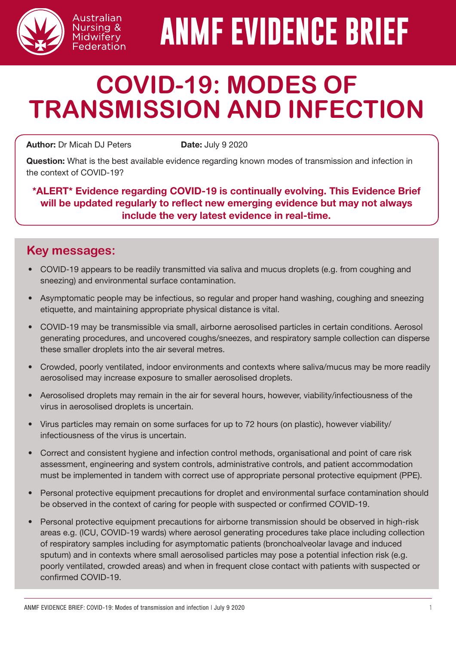

# **ANMF EVIDENCE BRIEF**

# **COVID-19: MODES OF TRANSMISSION AND INFECTION**

**Author:** Dr Micah DJ Peters **Date: July 9 2020** 

Australian Nursing & Midwifery Federation

Question: What is the best available evidence regarding known modes of transmission and infection in the context of COVID-19?

\*ALERT\* Evidence regarding COVID-19 is continually evolving. This Evidence Brief will be updated regularly to reflect new emerging evidence but may not always include the very latest evidence in real-time.

## **Key messages:**

- COVID-19 appears to be readily transmitted via saliva and mucus droplets (e.g. from coughing and sneezing) and environmental surface contamination.
- Asymptomatic people may be infectious, so regular and proper hand washing, coughing and sneezing etiquette, and maintaining appropriate physical distance is vital.
- COVID-19 may be transmissible via small, airborne aerosolised particles in certain conditions. Aerosol generating procedures, and uncovered coughs/sneezes, and respiratory sample collection can disperse these smaller droplets into the air several metres.
- Crowded, poorly ventilated, indoor environments and contexts where saliva/mucus may be more readily aerosolised may increase exposure to smaller aerosolised droplets.
- Aerosolised droplets may remain in the air for several hours, however, viability/infectiousness of the virus in aerosolised droplets is uncertain.
- Virus particles may remain on some surfaces for up to 72 hours (on plastic), however viability/ infectiousness of the virus is uncertain.
- Correct and consistent hygiene and infection control methods, organisational and point of care risk assessment, engineering and system controls, administrative controls, and patient accommodation must be implemented in tandem with correct use of appropriate personal protective equipment (PPE).
- Personal protective equipment precautions for droplet and environmental surface contamination should be observed in the context of caring for people with suspected or confirmed COVID-19.
- Personal protective equipment precautions for airborne transmission should be observed in high-risk areas e.g. (ICU, COVID-19 wards) where aerosol generating procedures take place including collection of respiratory samples including for asymptomatic patients (bronchoalveolar lavage and induced sputum) and in contexts where small aerosolised particles may pose a potential infection risk (e.g. poorly ventilated, crowded areas) and when in frequent close contact with patients with suspected or confirmed COVID-19.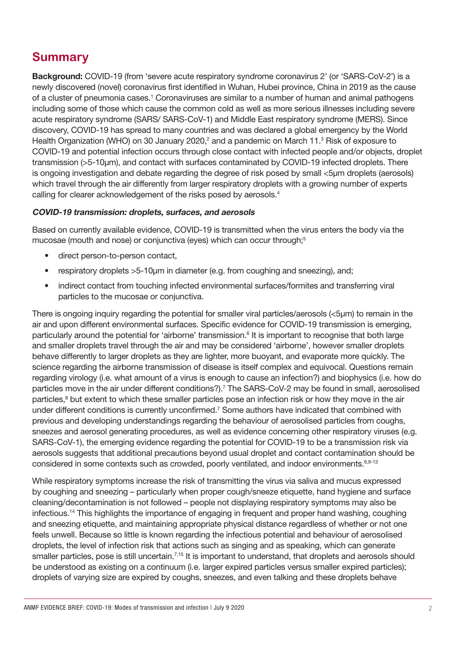# **Summary**

Background: COVID-19 (from 'severe acute respiratory syndrome coronavirus 2' (or 'SARS-CoV-2') is a newly discovered (novel) coronavirus first identified in Wuhan, Hubei province, China in 2019 as the cause of a cluster of pneumonia cases.<sup>1</sup> Coronaviruses are similar to a number of human and animal pathogens including some of those which cause the common cold as well as more serious illnesses including severe acute respiratory syndrome (SARS/ SARS-CoV-1) and Middle East respiratory syndrome (MERS). Since discovery, COVID-19 has spread to many countries and was declared a global emergency by the World Health Organization (WHO) on 30 January 2020,<sup>2</sup> and a pandemic on March 11.<sup>3</sup> Risk of exposure to COVID-19 and potential infection occurs through close contact with infected people and/or objects, droplet transmission (>5-10μm), and contact with surfaces contaminated by COVID-19 infected droplets. There is ongoing investigation and debate regarding the degree of risk posed by small <5um droplets (aerosols) which travel through the air differently from larger respiratory droplets with a growing number of experts calling for clearer acknowledgement of the risks posed by aerosols.<sup>4</sup>

#### COVID-19 transmission: droplets, surfaces, and aerosols

Based on currently available evidence, COVID-19 is transmitted when the virus enters the body via the mucosae (mouth and nose) or conjunctiva (eyes) which can occur through;<sup>5</sup>

- direct person-to-person contact,
- respiratory droplets >5-10µm in diameter (e.g. from coughing and sneezing), and;
- indirect contact from touching infected environmental surfaces/formites and transferring viral particles to the mucosae or conjunctiva.

There is ongoing inquiry regarding the potential for smaller viral particles/aerosols (<5μm) to remain in the air and upon different environmental surfaces. Specific evidence for COVID-19 transmission is emerging, particularly around the potential for 'airborne' transmission.<sup>6</sup> It is important to recognise that both large and smaller droplets travel through the air and may be considered 'airborne', however smaller droplets behave differently to larger droplets as they are lighter, more buoyant, and evaporate more quickly. The science regarding the airborne transmission of disease is itself complex and equivocal. Questions remain regarding virology (i.e. what amount of a virus is enough to cause an infection?) and biophysics (i.e. how do particles move in the air under different conditions?).<sup>7</sup> The SARS-CoV-2 may be found in small, aerosolised particles,<sup>8</sup> but extent to which these smaller particles pose an infection risk or how they move in the air under different conditions is currently unconfirmed.<sup>7</sup> Some authors have indicated that combined with previous and developing understandings regarding the behaviour of aerosolised particles from coughs, sneezes and aerosol generating procedures, as well as evidence concerning other respiratory viruses (e.g. SARS-CoV-1), the emerging evidence regarding the potential for COVID-19 to be a transmission risk via aerosols suggests that additional precautions beyond usual droplet and contact contamination should be considered in some contexts such as crowded, poorly ventilated, and indoor environments.<sup>6,9-13</sup>

While respiratory symptoms increase the risk of transmitting the virus via saliva and mucus expressed by coughing and sneezing – particularly when proper cough/sneeze etiquette, hand hygiene and surface cleaning/decontamination is not followed – people not displaying respiratory symptoms may also be infectious.14 This highlights the importance of engaging in frequent and proper hand washing, coughing and sneezing etiquette, and maintaining appropriate physical distance regardless of whether or not one feels unwell. Because so little is known regarding the infectious potential and behaviour of aerosolised droplets, the level of infection risk that actions such as singing and as speaking, which can generate smaller particles, pose is still uncertain.<sup>7,15</sup> It is important to understand, that droplets and aerosols should be understood as existing on a continuum (i.e. larger expired particles versus smaller expired particles); droplets of varying size are expired by coughs, sneezes, and even talking and these droplets behave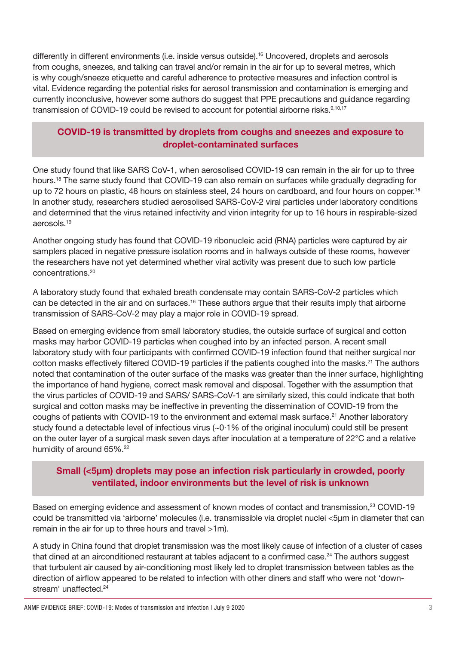differently in different environments (i.e. inside versus outside).16 Uncovered, droplets and aerosols from coughs, sneezes, and talking can travel and/or remain in the air for up to several metres, which is why cough/sneeze etiquette and careful adherence to protective measures and infection control is vital. Evidence regarding the potential risks for aerosol transmission and contamination is emerging and currently inconclusive, however some authors do suggest that PPE precautions and guidance regarding transmission of COVID-19 could be revised to account for potential airborne risks.<sup>9,10,17</sup>

#### COVID-19 is transmitted by droplets from coughs and sneezes and exposure to droplet-contaminated surfaces

One study found that like SARS CoV-1, when aerosolised COVID-19 can remain in the air for up to three hours.<sup>18</sup> The same study found that COVID-19 can also remain on surfaces while gradually degrading for up to 72 hours on plastic, 48 hours on stainless steel, 24 hours on cardboard, and four hours on copper.<sup>18</sup> In another study, researchers studied aerosolised SARS-CoV-2 viral particles under laboratory conditions and determined that the virus retained infectivity and virion integrity for up to 16 hours in respirable-sized aerosols.19

Another ongoing study has found that COVID-19 ribonucleic acid (RNA) particles were captured by air samplers placed in negative pressure isolation rooms and in hallways outside of these rooms, however the researchers have not yet determined whether viral activity was present due to such low particle concentrations.20

A laboratory study found that exhaled breath condensate may contain SARS-CoV-2 particles which can be detected in the air and on surfaces.<sup>16</sup> These authors argue that their results imply that airborne transmission of SARS-CoV-2 may play a major role in COVID-19 spread.

Based on emerging evidence from small laboratory studies, the outside surface of surgical and cotton masks may harbor COVID-19 particles when coughed into by an infected person. A recent small laboratory study with four participants with confirmed COVID-19 infection found that neither surgical nor cotton masks effectively filtered COVID-19 particles if the patients coughed into the masks.<sup>21</sup> The authors noted that contamination of the outer surface of the masks was greater than the inner surface, highlighting the importance of hand hygiene, correct mask removal and disposal. Together with the assumption that the virus particles of COVID-19 and SARS/ SARS-CoV-1 are similarly sized, this could indicate that both surgical and cotton masks may be ineffective in preventing the dissemination of COVID-19 from the coughs of patients with COVID-19 to the environment and external mask surface.<sup>21</sup> Another laboratory study found a detectable level of infectious virus (~0.1% of the original inoculum) could still be present on the outer layer of a surgical mask seven days after inoculation at a temperature of 22°C and a relative humidity of around 65%.<sup>22</sup>

#### Small (<5µm) droplets may pose an infection risk particularly in crowded, poorly ventilated, indoor environments but the level of risk is unknown

Based on emerging evidence and assessment of known modes of contact and transmission,<sup>23</sup> COVID-19 could be transmitted via 'airborne' molecules (i.e. transmissible via droplet nuclei <5μm in diameter that can remain in the air for up to three hours and travel >1m).

A study in China found that droplet transmission was the most likely cause of infection of a cluster of cases that dined at an airconditioned restaurant at tables adjacent to a confirmed case.<sup>24</sup> The authors suggest that turbulent air caused by air-conditioning most likely led to droplet transmission between tables as the direction of airflow appeared to be related to infection with other diners and staff who were not 'downstream' unaffected.<sup>24</sup>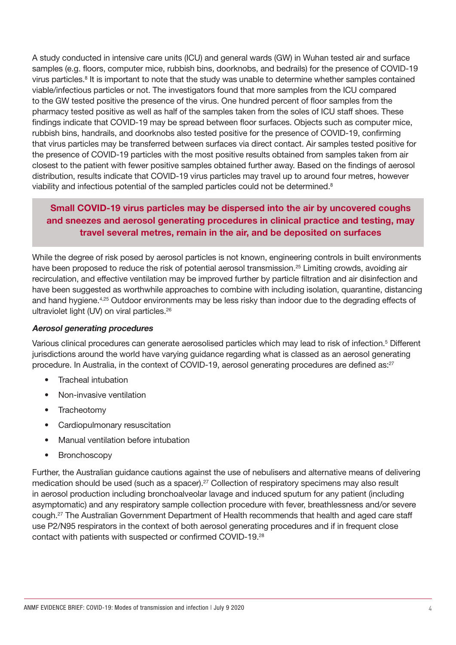A study conducted in intensive care units (ICU) and general wards (GW) in Wuhan tested air and surface samples (e.g. floors, computer mice, rubbish bins, doorknobs, and bedrails) for the presence of COVID-19 virus particles.<sup>8</sup> It is important to note that the study was unable to determine whether samples contained viable/infectious particles or not. The investigators found that more samples from the ICU compared to the GW tested positive the presence of the virus. One hundred percent of floor samples from the pharmacy tested positive as well as half of the samples taken from the soles of ICU staff shoes. These findings indicate that COVID-19 may be spread between floor surfaces. Objects such as computer mice, rubbish bins, handrails, and doorknobs also tested positive for the presence of COVID-19, confirming that virus particles may be transferred between surfaces via direct contact. Air samples tested positive for the presence of COVID-19 particles with the most positive results obtained from samples taken from air closest to the patient with fewer positive samples obtained further away. Based on the findings of aerosol distribution, results indicate that COVID-19 virus particles may travel up to around four metres, however viability and infectious potential of the sampled particles could not be determined.<sup>8</sup>

#### Small COVID-19 virus particles may be dispersed into the air by uncovered coughs and sneezes and aerosol generating procedures in clinical practice and testing, may travel several metres, remain in the air, and be deposited on surfaces

While the degree of risk posed by aerosol particles is not known, engineering controls in built environments have been proposed to reduce the risk of potential aerosol transmission.<sup>25</sup> Limiting crowds, avoiding air recirculation, and effective ventilation may be improved further by particle filtration and air disinfection and have been suggested as worthwhile approaches to combine with including isolation, quarantine, distancing and hand hygiene.4,25 Outdoor environments may be less risky than indoor due to the degrading effects of ultraviolet light (UV) on viral particles.<sup>26</sup>

#### Aerosol generating procedures

Various clinical procedures can generate aerosolised particles which may lead to risk of infection.<sup>5</sup> Different jurisdictions around the world have varying guidance regarding what is classed as an aerosol generating procedure. In Australia, in the context of COVID-19, aerosol generating procedures are defined as:<sup>27</sup>

- Tracheal intubation
- Non-invasive ventilation
- Tracheotomy
- Cardiopulmonary resuscitation
- Manual ventilation before intubation
- Bronchoscopy

Further, the Australian guidance cautions against the use of nebulisers and alternative means of delivering medication should be used (such as a spacer).<sup>27</sup> Collection of respiratory specimens may also result in aerosol production including bronchoalveolar lavage and induced sputum for any patient (including asymptomatic) and any respiratory sample collection procedure with fever, breathlessness and/or severe cough.27 The Australian Government Department of Health recommends that health and aged care staff use P2/N95 respirators in the context of both aerosol generating procedures and if in frequent close contact with patients with suspected or confirmed COVID-19.28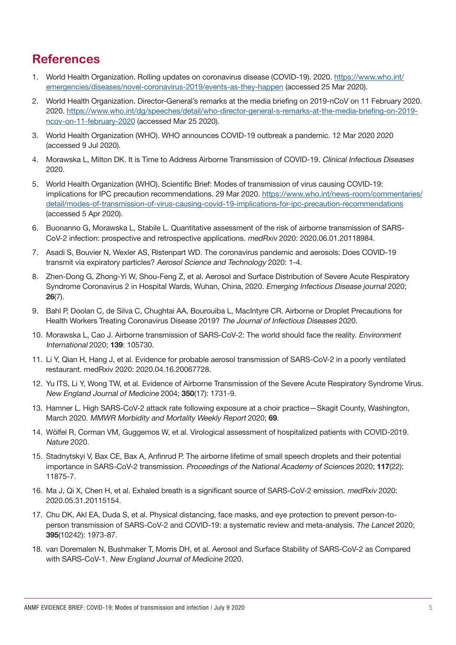## **References**

- 1. World Health Organization. Rolling updates on coronavirus disease (COVID-19). 2020. [https://www.who.int/](https://www.who.int/emergencies/diseases/novel-coronavirus-2019/events-as-they-happen) [emergencies/diseases/novel-coronavirus-2019/events-as-they-happen](https://www.who.int/emergencies/diseases/novel-coronavirus-2019/events-as-they-happen) (accessed 25 Mar 2020).
- 2. World Health Organization. Director-General's remarks at the media briefing on 2019-nCoV on 11 February 2020. 2020. [https://www.who.int/dg/speeches/detail/who-director-general-s-remarks-at-the-media-briefing-on-2019](https://www.who.int/dg/speeches/detail/who-director-general-s-remarks-at-the-media-briefing-on-2019-ncov-on-11-february-2020) [ncov-on-11-february-2020](https://www.who.int/dg/speeches/detail/who-director-general-s-remarks-at-the-media-briefing-on-2019-ncov-on-11-february-2020) (accessed Mar 25 2020).
- 3. World Health Organization (WHO). WHO announces COVID-19 outbreak a pandemic. 12 Mar 2020 2020 (accessed 9 Jul 2020).
- 4. Morawska L, Milton DK. It is Time to Address Airborne Transmission of COVID-19. Clinical Infectious Diseases 2020.
- 5. World Health Organization (WHO). Scientific Brief: Modes of transmission of virus causing COVID-19: implications for IPC precaution recommendations. 29 Mar 2020. [https://www.who.int/news-room/commentaries/](https://www.who.int/news-room/commentaries/detail/modes-of-transmission-of-virus-causing-covid-19-implications-for-ipc-precaution-recommendations) [detail/modes-of-transmission-of-virus-causing-covid-19-implications-for-ipc-precaution-recommendations](https://www.who.int/news-room/commentaries/detail/modes-of-transmission-of-virus-causing-covid-19-implications-for-ipc-precaution-recommendations) (accessed 5 Apr 2020).
- 6. Buonanno G, Morawska L, Stabile L. Quantitative assessment of the risk of airborne transmission of SARS-CoV-2 infection: prospective and retrospective applications. medRxiv 2020: 2020.06.01.20118984.
- 7. Asadi S, Bouvier N, Wexler AS, Ristenpart WD. The coronavirus pandemic and aerosols: Does COVID-19 transmit via expiratory particles? Aerosol Science and Technology 2020: 1-4.
- 8. Zhen-Dong G, Zhong-Yi W, Shou-Feng Z, et al. Aerosol and Surface Distribution of Severe Acute Respiratory Syndrome Coronavirus 2 in Hospital Wards, Wuhan, China, 2020. Emerging Infectious Disease journal 2020; 26(7).
- 9. Bahl P, Doolan C, de Silva C, Chughtai AA, Bourouiba L, MacIntyre CR. Airborne or Droplet Precautions for Health Workers Treating Coronavirus Disease 2019? The Journal of Infectious Diseases 2020.
- 10. Morawska L, Cao J. Airborne transmission of SARS-CoV-2: The world should face the reality. Environment International 2020; 139: 105730.
- 11. Li Y, Qian H, Hang J, et al. Evidence for probable aerosol transmission of SARS-CoV-2 in a poorly ventilated restaurant. medRxiv 2020: 2020.04.16.20067728.
- 12. Yu ITS, Li Y, Wong TW, et al. Evidence of Airborne Transmission of the Severe Acute Respiratory Syndrome Virus. New England Journal of Medicine 2004; 350(17): 1731-9.
- 13. Hamner L. High SARS-CoV-2 attack rate following exposure at a choir practice—Skagit County, Washington, March 2020. MMWR Morbidity and Mortality Weekly Report 2020; 69.
- 14. Wölfel R, Corman VM, Guggemos W, et al. Virological assessment of hospitalized patients with COVID-2019. Nature 2020.
- 15. Stadnytskyi V, Bax CE, Bax A, Anfinrud P. The airborne lifetime of small speech droplets and their potential importance in SARS-CoV-2 transmission. Proceedings of the National Academy of Sciences 2020; 117(22): 11875-7.
- 16. Ma J, Qi X, Chen H, et al. Exhaled breath is a significant source of SARS-CoV-2 emission. medRxiv 2020: 2020.05.31.20115154.
- 17. Chu DK, Akl EA, Duda S, et al. Physical distancing, face masks, and eye protection to prevent person-toperson transmission of SARS-CoV-2 and COVID-19: a systematic review and meta-analysis. The Lancet 2020; 395(10242): 1973-87.
- 18. van Doremalen N, Bushmaker T, Morris DH, et al. Aerosol and Surface Stability of SARS-CoV-2 as Compared with SARS-CoV-1. New England Journal of Medicine 2020.